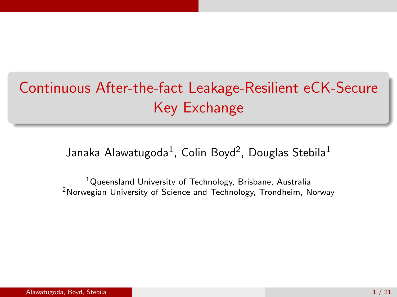# Continuous After-the-fact Leakage-Resilient eCK-Secure Key Exchange

Janaka Alawatugoda $^1$ , Colin Boyd $^2$ , Douglas Stebila $^1$ 

<sup>1</sup>Queensland University of Technology, Brisbane, Australia <sup>2</sup>Norwegian University of Science and Technology, Trondheim, Norway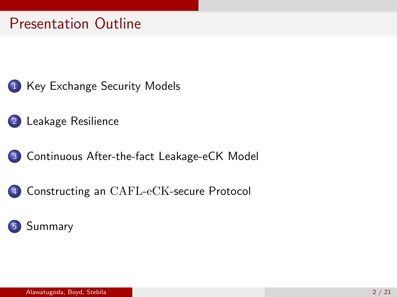# Presentation Outline

- 1 [Key Exchange Security Models](#page-2-0)
- 2 [Leakage Resilience](#page-6-0)
- 3 [Continuous After-the-fact Leakage-eCK Model](#page-10-0)
	- Constructing an CAFL-eCK[-secure Protocol](#page-16-0)

### **[Summary](#page-21-0)**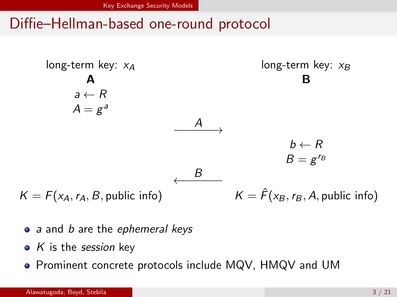# <span id="page-2-0"></span>Diffie–Hellman-based one-round protocol



- a and b are the ephemeral keys
- $\bullet$  K is the session key
- **•** Prominent concrete protocols include MQV, HMQV and UM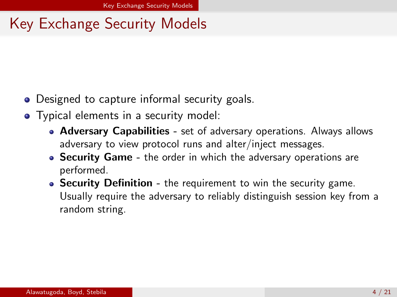# <span id="page-3-0"></span>Key Exchange Security Models

- Designed to capture informal security goals.
- Typical elements in a security model:
	- Adversary Capabilities set of adversary operations. Always allows adversary to view protocol runs and alter/inject messages.
	- Security Game the order in which the adversary operations are performed.
	- Security Definition the requirement to win the security game. Usually require the adversary to reliably distinguish session key from a random string.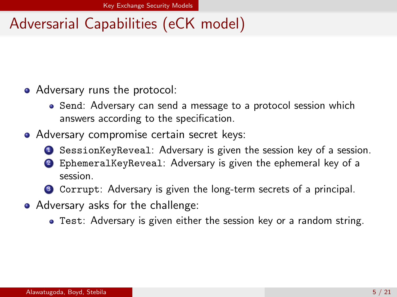# <span id="page-4-0"></span>Adversarial Capabilities (eCK model)

- Adversary runs the protocol:
	- Send: Adversary can send a message to a protocol session which answers according to the specification.
- Adversary compromise certain secret keys:
	- **1** SessionKeyReveal: Adversary is given the session key of a session.
	- <sup>2</sup> EphemeralKeyReveal: Adversary is given the ephemeral key of a session.
	- <sup>3</sup> Corrupt: Adversary is given the long-term secrets of a principal.
- Adversary asks for the challenge:
	- Test: Adversary is given either the session key or a random string.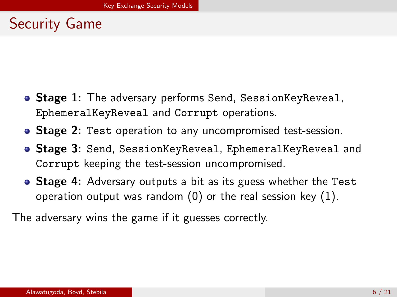# <span id="page-5-0"></span>Security Game

- **Stage 1:** The adversary performs Send, SessionKeyReveal, EphemeralKeyReveal and Corrupt operations.
- **Stage 2:** Test operation to any uncompromised test-session.
- **Stage 3:** Send, SessionKeyReveal, EphemeralKeyReveal and Corrupt keeping the test-session uncompromised.
- Stage 4: Adversary outputs a bit as its guess whether the Test operation output was random  $(0)$  or the real session key  $(1)$ .

The adversary wins the game if it guesses correctly.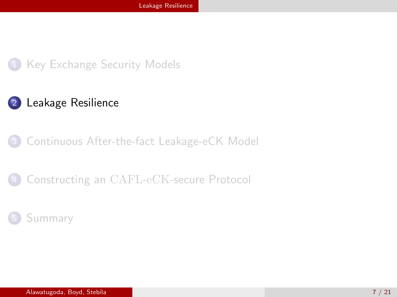<span id="page-6-0"></span>

### 2 [Leakage Resilience](#page-6-0)

#### 3 [Continuous After-the-fact Leakage-eCK Model](#page-10-0)

#### Constructing an CAFL-eCK[-secure Protocol](#page-16-0)

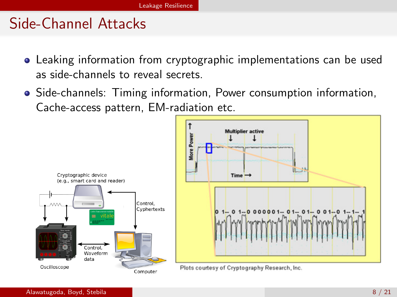## <span id="page-7-0"></span>Side-Channel Attacks

- Leaking information from cryptographic implementations can be used as side-channels to reveal secrets.
- Side-channels: Timing information, Power consumption information, Cache-access pattern, EM-radiation etc.

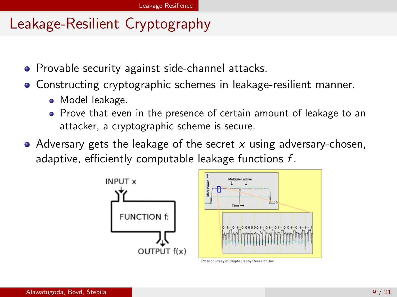# <span id="page-8-0"></span>Leakage-Resilient Cryptography

- Provable security against side-channel attacks.
- Constructing cryptographic schemes in leakage-resilient manner.
	- Model leakage.
	- Prove that even in the presence of certain amount of leakage to an attacker, a cryptographic scheme is secure.
- Adversary gets the leakage of the secret  $x$  using adversary-chosen, adaptive, efficiently computable leakage functions  $f$ .



Plots courtesy of Cryptography Research, Inc.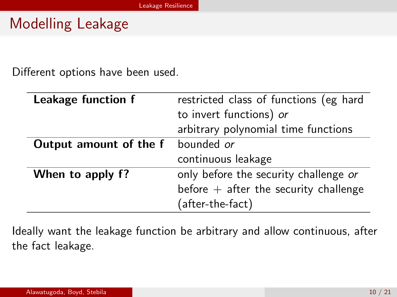# <span id="page-9-0"></span>Modelling Leakage

Different options have been used.

| Leakage function f     | restricted class of functions (eg hard  |  |  |
|------------------------|-----------------------------------------|--|--|
|                        | to invert functions) or                 |  |  |
|                        | arbitrary polynomial time functions     |  |  |
| Output amount of the f | bounded or                              |  |  |
|                        | continuous leakage                      |  |  |
| When to apply f?       | only before the security challenge or   |  |  |
|                        | before $+$ after the security challenge |  |  |
|                        | (after-the-fact)                        |  |  |

Ideally want the leakage function be arbitrary and allow continuous, after the fact leakage.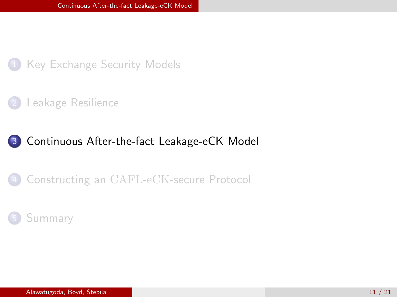<span id="page-10-0"></span>

[Leakage Resilience](#page-6-0)

#### 3 [Continuous After-the-fact Leakage-eCK Model](#page-10-0)

#### Constructing an CAFL-eCK[-secure Protocol](#page-16-0)

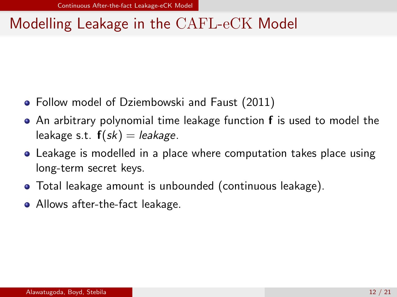# <span id="page-11-0"></span>Modelling Leakage in the CAFL-eCK Model

- **•** Follow model of Dziembowski and Faust (2011)
- An arbitrary polynomial time leakage function f is used to model the leakage s.t.  $f(sk) =$  leakage.
- Leakage is modelled in a place where computation takes place using long-term secret keys.
- Total leakage amount is unbounded (continuous leakage).
- Allows after-the-fact leakage.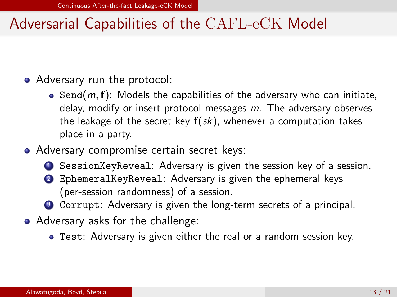# <span id="page-12-0"></span>Adversarial Capabilities of the CAFL-eCK Model

- Adversary run the protocol:
	- $\bullet$  Send(m, f): Models the capabilities of the adversary who can initiate, delay, modify or insert protocol messages m. The adversary observes the leakage of the secret key  $f(sk)$ , whenever a computation takes place in a party.
- Adversary compromise certain secret keys:
	- **1** SessionKeyReveal: Adversary is given the session key of a session.
	- <sup>2</sup> EphemeralKeyReveal: Adversary is given the ephemeral keys (per-session randomness) of a session.
	- <sup>3</sup> Corrupt: Adversary is given the long-term secrets of a principal.
- Adversary asks for the challenge:
	- Test: Adversary is given either the real or a random session key.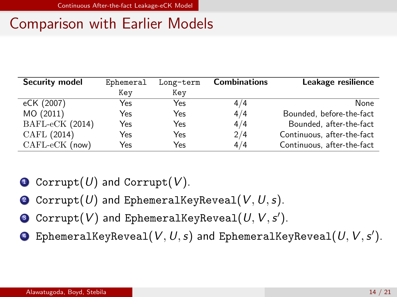# <span id="page-13-0"></span>Comparison with Earlier Models

| Security model    | Ephemeral | Long-term | <b>Combinations</b> | Leakage resilience         |
|-------------------|-----------|-----------|---------------------|----------------------------|
|                   | Kev       | Kev       |                     |                            |
| eCK (2007)        | Yes       | Yes       | 4/4                 | <b>None</b>                |
| MO (2011)         | Yes       | Yes       | 4/4                 | Bounded, before-the-fact   |
| $BAFL-eCK (2014)$ | Yes       | Yes       | 4/4                 | Bounded, after-the-fact    |
| CAFL (2014)       | Yes       | Yes       | 2/4                 | Continuous, after-the-fact |
| $CAFL-eCK$ (now)  | Yes       | Yes       | 4/4                 | Continuous, after-the-fact |

- **1** Corrupt(U) and Corrupt(V).
- **2** Corrupt(U) and EphemeralKeyReveal( $V, U, s$ ).
- $\bullet$  Corrupt $(V)$  and EphemeralKeyReveal $(U,V,s').$
- $\bullet\;$  EphemeralKeyReveal $(\mathit{V},\mathit{U},s)$  and EphemeralKeyReveal $(\mathit{U},\mathit{V},s').$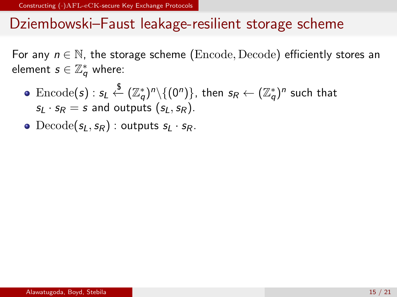### <span id="page-14-0"></span>Dziembowski–Faust leakage-resilient storage scheme

For any  $n \in \mathbb{N}$ , the storage scheme (Encode, Decode) efficiently stores an element  $s \in \mathbb{Z}^*_q$  where:

- $\text{Encode}(\bm{\mathsf{s}}):\bm{\mathsf{s}}_L \stackrel{\bm{\mathsf{\$}}}{\leftarrow} (\mathbb{Z}^*_{\bm{q}})^n\backslash\{(0^n)\},$  then  $\bm{\mathsf{s}}_{\mathsf{R}} \leftarrow (\mathbb{Z}^*_{\bm{q}})^n$  such that  $s_l \cdot s_R = s$  and outputs  $(s_l, s_R)$ .
- Decode( $s_L, s_R$ ) : outputs  $s_L \cdot s_R$ .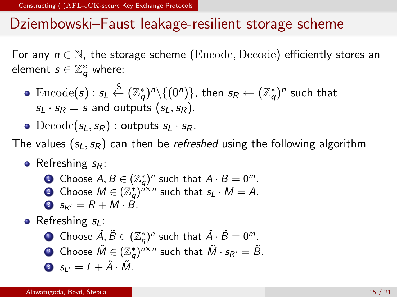### <span id="page-15-0"></span>Dziembowski–Faust leakage-resilient storage scheme

For any  $n \in \mathbb{N}$ , the storage scheme (Encode, Decode) efficiently stores an element  $s \in \mathbb{Z}^*_q$  where:

- $\text{Encode}(\bm{\mathsf{s}}):\bm{\mathsf{s}}_L \stackrel{\bm{\mathsf{\$}}}{\leftarrow} (\mathbb{Z}^*_{\bm{q}})^n\backslash\{(0^n)\},$  then  $\bm{\mathsf{s}}_{\mathsf{R}} \leftarrow (\mathbb{Z}^*_{\bm{q}})^n$  such that  $s_l \cdot s_R = s$  and outputs  $(s_l, s_R)$ .
- Decode( $s_L, s_R$ ) : outputs  $s_L \cdot s_R$ .

The values  $(s_L, s_R)$  can then be *refreshed* using the following algorithm

- Refreshing  $s_R$ :
	- **1** Choose  $A, B \in (\mathbb{Z}_q^*)^n$  such that  $A \cdot B = 0^m$ . **?** Choose  $M \in (\mathbb{Z}_q^*)^{n \times n}$  such that  $s_L \cdot M = A$ . 3  $s_{R'} = R + M \cdot \vec{B}$ .
- Refreshing  $s_l$ :

\n- **Obpose** 
$$
\tilde{A}, \tilde{B} \in (\mathbb{Z}_q^*)^n
$$
 such that  $\tilde{A} \cdot \tilde{B} = 0^m$ .
\n- **Obose**  $\tilde{M} \in (\mathbb{Z}_q^*)^{n \times n}$  such that  $\tilde{M} \cdot s_{R'} = \tilde{B}$ .
\n- **So**  $s_{L'} = L + \tilde{A} \cdot \tilde{M}$ .
\n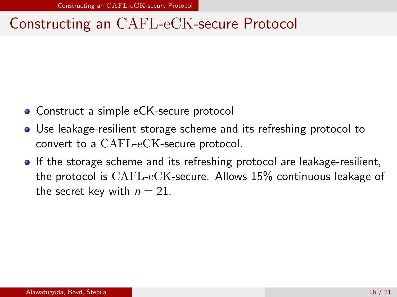## <span id="page-16-0"></span>Constructing an CAFL-eCK-secure Protocol

- Construct a simple eCK-secure protocol
- Use leakage-resilient storage scheme and its refreshing protocol to convert to a CAFL-eCK-secure protocol.
- If the storage scheme and its refreshing protocol are leakage-resilient, the protocol is CAFL-eCK-secure. Allows 15% continuous leakage of the secret key with  $n = 21$ .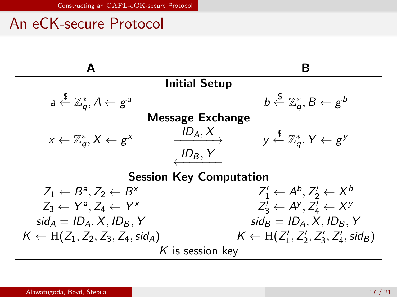## <span id="page-17-0"></span>An eCK-secure Protocol

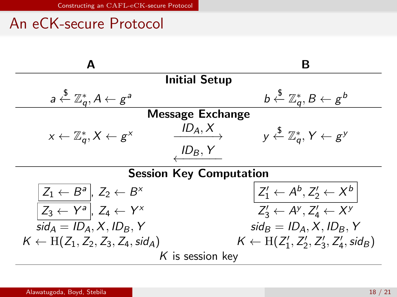# <span id="page-18-0"></span>An eCK-secure Protocol

| A                                                              | R                                                                          |  |  |  |
|----------------------------------------------------------------|----------------------------------------------------------------------------|--|--|--|
| <b>Initial Setup</b>                                           |                                                                            |  |  |  |
| $a \stackrel{\$}{\leftarrow} \mathbb{Z}_a^*, A \leftarrow g^a$ | $b \overset{\$}{\leftarrow} \mathbb{Z}_a^*, B \leftarrow g^b$              |  |  |  |
| Message Exchange                                               |                                                                            |  |  |  |
| $x \leftarrow \mathbb{Z}_q^*, X \leftarrow g^x$                | $ID_A, X$<br>$y \overset{\$}{\leftarrow} \mathbb{Z}_a^*, Y \leftarrow g^y$ |  |  |  |
|                                                                | $ID_B, Y$                                                                  |  |  |  |
| <b>Session Key Computation</b>                                 |                                                                            |  |  |  |
| $Z_1 \leftarrow B^a \mid Z_2 \leftarrow B^x$                   | $Z'_1 \leftarrow A^b, Z'_2 \leftarrow X^b$                                 |  |  |  |
| $\overline{Z_3 \leftarrow Y^a}$ , $Z_4 \leftarrow Y^x$         | $Z'_3 \leftarrow A^y, Z'_4 \leftarrow X^y$                                 |  |  |  |
| $sid_A = ID_A, X, ID_B, Y$                                     | $sid_B = ID_A, X, ID_B, Y$                                                 |  |  |  |
| $K \leftarrow H(Z_1, Z_2, Z_3, Z_4, \text{sid}_A)$             | $K \leftarrow H(Z'_1, Z'_2, Z'_3, Z'_4, \textit{sid}_B)$                   |  |  |  |
| K is session key                                               |                                                                            |  |  |  |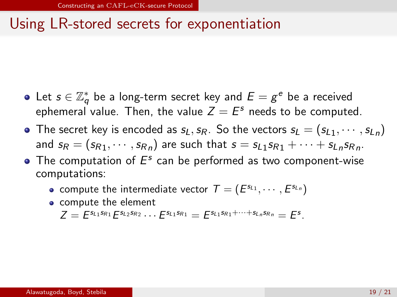# <span id="page-19-0"></span>Using LR-stored secrets for exponentiation

- Let  $s \in \mathbb{Z}_q^*$  be a long-term secret key and  $E = g^e$  be a received ephemeral value. Then, the value  $Z = E^s$  needs to be computed.
- The secret key is encoded as  $s_L,s_R$ . So the vectors  $s_L=(s_{L1},\cdots,s_{Ln})$ and  $s_R = (s_{R1}, \cdots, s_{Rn})$  are such that  $s = s_{L1} s_{R1} + \cdots + s_{Ln} s_{Rn}$ .
- The computation of  $E^s$  can be performed as two component-wise computations:
	- compute the intermediate vector  $\mathcal{T} = (E^{s_{L_1}}, \cdots, E^{s_{L_n}})$
	- compute the element

$$
Z = E^{s_{L1}s_{R1}} E^{s_{L2}s_{R2}} \cdots E^{s_{L1}s_{R1}} = E^{s_{L1}s_{R1} + \cdots + s_{Ln}s_{Rn}} = E^{s}.
$$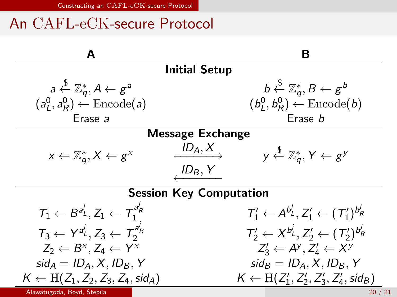# <span id="page-20-0"></span>An CAFL-eCK-secure Protocol